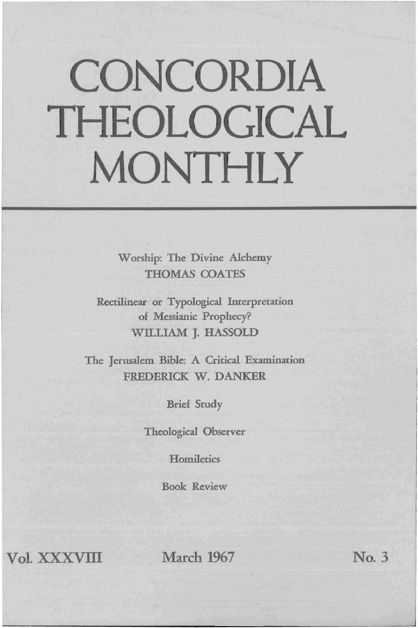## CONCORDIA THEOLOGICAL MONTHLY

Worship: The Divine Alchemy THOMAS COATES

Rectilinear or Typological Interpretation of Messianic Prophecy? WILLIAM J. HASSOLD

The Jerusalem Bible: A Critical Examination FREDERICK W. DANKER

Brief Study

Theological Observer

**Homiletics** 

Book Review

Vol. XXXVIII March 1967 No. 3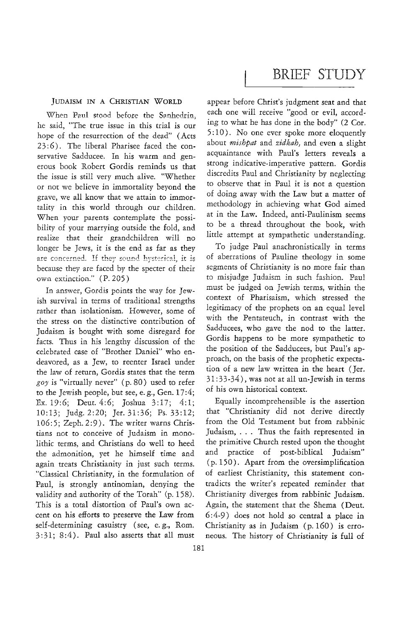## JUDAISM IN A CHRISTIAN WORLD

When Paul stood before the Sanhedrin, he said, "The true issue in this trial is our hope of the resurrection of the dead" (Acts 23: 6). The liberal Pharisee faced the conservative Sadducee. In his warm and generous book Robert Gordis reminds us that the issue is still very much alive. "Whether or not we believe in immortality beyond the grave, we all know that we attain to immortality in this world through our children. When your parents contemplate the possibility of your marrying outside the fold, and realize that their grandchildren will no longer be Jews, it is the end as far as they are concerned. If they sound hysterical, it is because they are faced by the specter of their own extinction." (P. 205)

In answer, Gordis points the way for Jewish survival in terms of traditional strengths rather than isolationism. However, some of the stress on the distinctive contribution of Judaism is bought with some disregard for facts. Thus in his lengthy discussion of the celebrated case of "Brother Daniel" who endeavored, as a Jew, to reenter Israel under the law of return, Gordis states that the term *goy* is "virtually never" *(p.* 80) used to refer to the Jewish people, but see, e. g., Gen. 17:4; Ex. 19:6; Deut.4:6; Joshua 3:17; 4:1; 10:13; Judg.2:20; Jer.31:36; Ps.33:12; 106:5; Zeph. 2:9). The writer warns Christians not to conceive of Judaism in monolithic terms, and Christians do well to heed the admonition, yet he himself time and again treats Christianity in just such terms. "Classical Christianity, in the formulation of Paul, is strongly antinomian, denying the validity and authority of the Torah" *(p.158).*  This is a total distortion of Paul's own accent on his efforts to preserve the Law from self-determining casuistry (see, e. g., Rom.  $3:31$ ;  $8:4$ ). Paul also asserts that all must

appear before Christ's judgment seat and that each one will receive "good or evil, according to what he has done in the body" (2 Cor. 5: 10). No one ever spoke more eloquently about *mishpat* and *zidkah,* and even a slight acquaintance with Paul's letters reveals a strong indicative-imperative pattern. Gordis discredits Paul and Christianity by neglecting to observe that in Paul it is not a question of doing away with the Law but a matter of methodology in achieving what God aimed at in the Law. Indeed, anti-Paulinism seems to be a thread throughout the book, with little attempt at sympathetic understanding.

To judge Paul anachronistically in terms of aberrations of Pauline theology in some segments of Christianity is no more fair than to misjudge Judaism in such fashion. Paul must be judged on Jewish terms, within the context of Pharisaism, which stressed the legitimacy of the prophets on an equal level with the Pentateuch, in contrast with the Sadducees, who gave the nod to the latter. Gordis happens to be more sympathetic to the position of the Sadducees, but Paul's approach, on the basis of the prophetic expectation of a new law written in the heart (Jer. 31: 33-34), was not at all un-Jewish in terms of his own historical context.

Equally incomprehensible is the assertion that "Christianity did not derive directly from the Old Testament but from rabbinic Judaism, . . . Thus the faith represented in the primitive Church rested upon the thought and practice of post-biblical Judaism" (p. 150). Apart from the oversimplification of earliest Christianity, this statement contradicts the writer's repeated reminder that Christianity diverges from rabbinic Judaism. Again, the statement that the Shema (Deut. 6: 4-9) does not hold so central a place in Christianity as in Judaism (p. 160) is erroneous. The history of Christianity is full of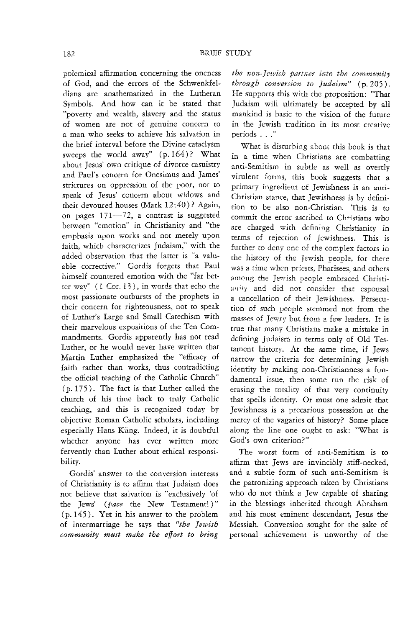polemical affirmation concerning the oneness of God, and the errors of the Schwenkfeldians are anathematized in the Lutheran Symbols. And how can it be stated that "poverty and wealth, slavery and the status of women are not of genuine concern to a man who seeks to achieve his salvation in the brief interval before the Divine cataclysm sweeps the world away" (p. 164)? What about Jesus' own critique of divorce casuistry and Paul's concern for Onesimus and James' strictures on oppression of the poor, not to speak of Jesus' concern about widows and their devoured houses (Mark  $12: 40$ )? Again, on pages 171-72, a contrast is suggested between "emotion" in Christianity and "the emphasis upon works and not merely upon faith, which characterizes Judaism," with the added observation that the latter is "a valuable corrective." Gordis forgets that Paul himself countered emotion with the "far better way" (1 Cor. 13 ), in words that echo the most passionate outbursts of the prophets in their concern for righteousness, not to speak of Luther's Large and Small Catechism with their marvelous expositions of the Ten Commandments. Gordis apparently has not read Luther, or he would never have written that Martin Luther emphasized the "efficacy of faith rather than works, thus contradicting the official teaching of the Catholic Church" (p. 175 ). The fact is that Luther called the church of his time back to truly Catholic teaching, and this is recognized today by objective Roman Catholic scholars, including especially Hans Kiing. Indeed, it is doubtful whether anyone has ever written more fervently than Luther about ethical responsibility.

Gordis' answer to the conversion interests of Christianity is to affirm that Judaism does not believe that salvation is "exclusively 'of the Jews' *(pace* the New Testament!)" (p.145). Yet in his answer to the problem of intermarriage he says that *"the Jewish community must make the effort to bring*  *the non-Jewish partner into the community through conversion to Judaism"* (p. 205). He supports this with the proposition: "That Judaism will ultimately be accepted by all mankind is basic to the vision of the future in the Jewish tradition in its most creative periods . . ."

What is disturbing about this book is that in a time when Christians are combatting anti-Semitism in subtle as well as overtly virulent forms, this book suggests that a primary ingredient of Jewishness is an anti-Christian stance, that Jewishness is by definition to be also non-Christian. This is to commit the error ascribed to Christians who are charged with defining Christianity in terms of rejection of Jewishness. This is further to deny one of the complex factors in the history of the Jewish people, for there was a time when priests, Pharisees, and others among the Jewish people embraced Christianity and did not consider that espousal a cancellation of their Jewishness. Persecution of such people stemmed not from the masses of Jewry but from a few leaders. It is true that many Christians make a mistake in defining Judaism in terms only of Old Testament history. At the same time, if Jews narrow the criteria for determining Jewish identity by making non-Christianness a fundamental issue, then some run the risk of erasing the totality of that very continuity that spells identity. Or must one admit that Jewishness is a precarious possession at the mercy of the vagaries of history? Some place along the line one ought to ask: "What is God's own criterion?"

The worst form of anti-Semitism is to affirm that Jews are invincibly stiff-necked, and a subtle form of such anti-Semitism is the patronizing approach taken by Christians who do not think a Jew capable of sharing in the blessings inherited through Abraham and his most eminent descendant, Jesus the Messiah. Conversion sought for the sake of personal achievement is unworthy of the